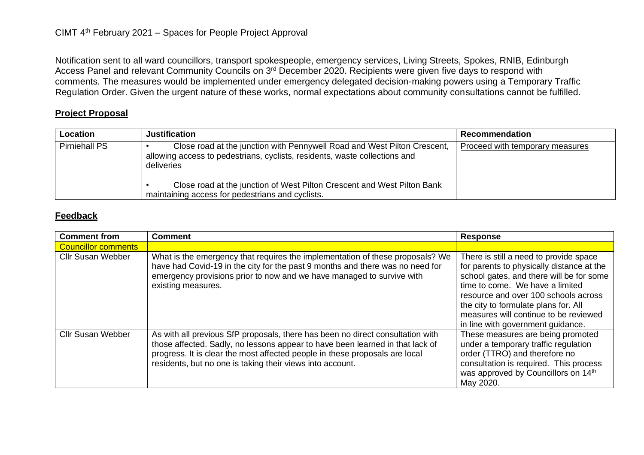Notification sent to all ward councillors, transport spokespeople, emergency services, Living Streets, Spokes, RNIB, Edinburgh Access Panel and relevant Community Councils on 3<sup>rd</sup> December 2020. Recipients were given five days to respond with comments. The measures would be implemented under emergency delegated decision-making powers using a Temporary Traffic Regulation Order. Given the urgent nature of these works, normal expectations about community consultations cannot be fulfilled.

## **Project Proposal**

| Location             | <b>Justification</b>                                                                                                                                                 | Recommendation                  |
|----------------------|----------------------------------------------------------------------------------------------------------------------------------------------------------------------|---------------------------------|
| <b>Pirniehall PS</b> | Close road at the junction with Pennywell Road and West Pilton Crescent,<br>allowing access to pedestrians, cyclists, residents, waste collections and<br>deliveries | Proceed with temporary measures |
|                      | Close road at the junction of West Pilton Crescent and West Pilton Bank<br>maintaining access for pedestrians and cyclists.                                          |                                 |

## **Feedback**

| <b>Comment from</b>        | <b>Comment</b>                                                                                                                                                                                                                                                                                              | <b>Response</b>                                                                                                                                                                                                                                                                                                                  |
|----------------------------|-------------------------------------------------------------------------------------------------------------------------------------------------------------------------------------------------------------------------------------------------------------------------------------------------------------|----------------------------------------------------------------------------------------------------------------------------------------------------------------------------------------------------------------------------------------------------------------------------------------------------------------------------------|
| <b>Councillor comments</b> |                                                                                                                                                                                                                                                                                                             |                                                                                                                                                                                                                                                                                                                                  |
| <b>Cllr Susan Webber</b>   | What is the emergency that requires the implementation of these proposals? We<br>have had Covid-19 in the city for the past 9 months and there was no need for<br>emergency provisions prior to now and we have managed to survive with<br>existing measures.                                               | There is still a need to provide space<br>for parents to physically distance at the<br>school gates, and there will be for some<br>time to come. We have a limited<br>resource and over 100 schools across<br>the city to formulate plans for. All<br>measures will continue to be reviewed<br>in line with government guidance. |
| <b>Cllr Susan Webber</b>   | As with all previous SfP proposals, there has been no direct consultation with<br>those affected. Sadly, no lessons appear to have been learned in that lack of<br>progress. It is clear the most affected people in these proposals are local<br>residents, but no one is taking their views into account. | These measures are being promoted<br>under a temporary traffic regulation<br>order (TTRO) and therefore no<br>consultation is required. This process<br>was approved by Councillors on 14th<br>May 2020.                                                                                                                         |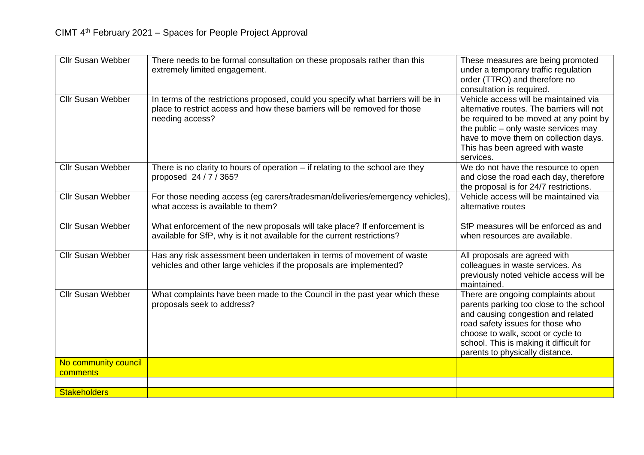| <b>Cllr Susan Webber</b>         | There needs to be formal consultation on these proposals rather than this<br>extremely limited engagement.                                                                        | These measures are being promoted<br>under a temporary traffic regulation<br>order (TTRO) and therefore no<br>consultation is required.                                                                                                                                    |
|----------------------------------|-----------------------------------------------------------------------------------------------------------------------------------------------------------------------------------|----------------------------------------------------------------------------------------------------------------------------------------------------------------------------------------------------------------------------------------------------------------------------|
| <b>Cllr Susan Webber</b>         | In terms of the restrictions proposed, could you specify what barriers will be in<br>place to restrict access and how these barriers will be removed for those<br>needing access? | Vehicle access will be maintained via<br>alternative routes. The barriers will not<br>be required to be moved at any point by<br>the public - only waste services may<br>have to move them on collection days.<br>This has been agreed with waste<br>services.             |
| <b>Cllr Susan Webber</b>         | There is no clarity to hours of operation $-$ if relating to the school are they<br>proposed 24/7/365?                                                                            | We do not have the resource to open<br>and close the road each day, therefore<br>the proposal is for 24/7 restrictions.                                                                                                                                                    |
| <b>Cllr Susan Webber</b>         | For those needing access (eg carers/tradesman/deliveries/emergency vehicles),<br>what access is available to them?                                                                | Vehicle access will be maintained via<br>alternative routes                                                                                                                                                                                                                |
| <b>Cllr Susan Webber</b>         | What enforcement of the new proposals will take place? If enforcement is<br>available for SfP, why is it not available for the current restrictions?                              | SfP measures will be enforced as and<br>when resources are available.                                                                                                                                                                                                      |
| <b>Cllr Susan Webber</b>         | Has any risk assessment been undertaken in terms of movement of waste<br>vehicles and other large vehicles if the proposals are implemented?                                      | All proposals are agreed with<br>colleagues in waste services. As<br>previously noted vehicle access will be<br>maintained.                                                                                                                                                |
| <b>Cllr Susan Webber</b>         | What complaints have been made to the Council in the past year which these<br>proposals seek to address?                                                                          | There are ongoing complaints about<br>parents parking too close to the school<br>and causing congestion and related<br>road safety issues for those who<br>choose to walk, scoot or cycle to<br>school. This is making it difficult for<br>parents to physically distance. |
| No community council<br>comments |                                                                                                                                                                                   |                                                                                                                                                                                                                                                                            |
| <b>Stakeholders</b>              |                                                                                                                                                                                   |                                                                                                                                                                                                                                                                            |
|                                  |                                                                                                                                                                                   |                                                                                                                                                                                                                                                                            |